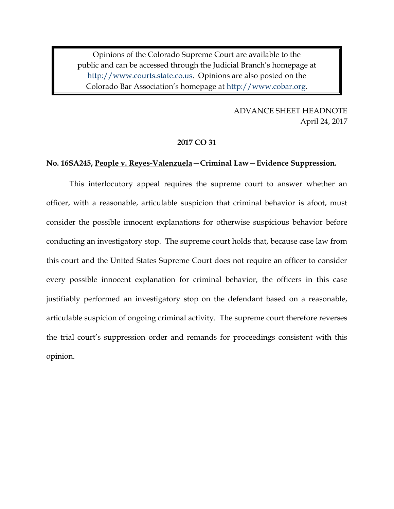Opinions of the Colorado Supreme Court are available to the public and can be accessed through the Judicial Branch's homepage at [http://www.courts.state.co.us.](http://www.courts.state.co.us/) Opinions are also posted on the Colorado Bar Association's homepage at [http://www.cobar.org.](http://www.cobar.org/)

> 6 ADVANCE SHEET HEADNOTE April 24, 2017

### 9 **2017 CO 31**

## 11 **No. 16SA245, People v. Reyes-Valenzuela—Criminal Law—Evidence Suppression.**

This interlocutory appeal requires the supreme court to answer whether an officer, with a reasonable, articulable suspicion that criminal behavior is afoot, must consider the possible innocent explanations for otherwise suspicious behavior before conducting an investigatory stop. The supreme court holds that, because case law from this court and the United States Supreme Court does not require an officer to consider every possible innocent explanation for criminal behavior, the officers in this case justifiably performed an investigatory stop on the defendant based on a reasonable, articulable suspicion of ongoing criminal activity. The supreme court therefore reverses the trial court's suppression order and remands for proceedings consistent with this opinion.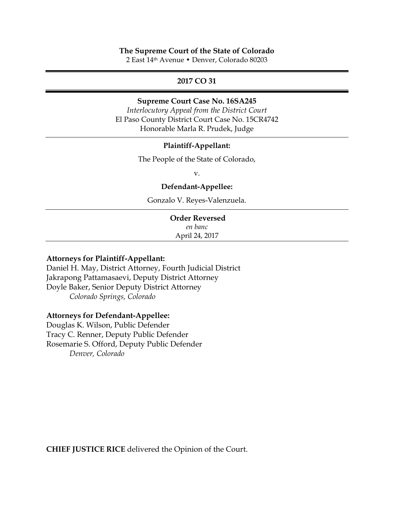## **The Supreme Court of the State of Colorado**

2 East 14th Avenue • Denver, Colorado 80203

# **2017 CO 31**

#### **Supreme Court Case No. 16SA245**

 *Interlocutory Appeal from the District Court* El Paso County District Court Case No. 15CR4742 Honorable Marla R. Prudek, Judge

#### **Plaintiff-Appellant:**

The People of the State of Colorado,

 $V.$ 

## **Defendant-Appellee:**

Gonzalo V. Reyes-Valenzuela.

### **Order Reversed**

 *en banc* April 24, 2017

## **Attorneys for Plaintiff-Appellant:**

Daniel H. May, District Attorney, Fourth Judicial District Jakrapong Pattamasaevi, Deputy District Attorney Doyle Baker, Senior Deputy District Attorney *Colorado Springs, Colorado*

## **Attorneys for Defendant-Appellee:**

Douglas K. Wilson, Public Defender Tracy C. Renner, Deputy Public Defender Rosemarie S. Offord, Deputy Public Defender *Denver, Colorado*

**CHIEF JUSTICE RICE** delivered the Opinion of the Court.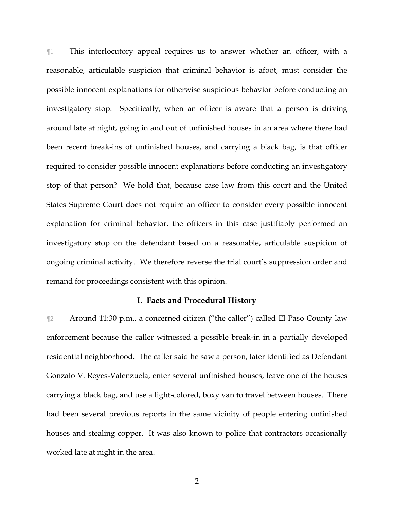¶1 This interlocutory appeal requires us to answer whether an officer, with a reasonable, articulable suspicion that criminal behavior is afoot, must consider the possible innocent explanations for otherwise suspicious behavior before conducting an investigatory stop. Specifically, when an officer is aware that a person is driving around late at night, going in and out of unfinished houses in an area where there had been recent break-ins of unfinished houses, and carrying a black bag, is that officer required to consider possible innocent explanations before conducting an investigatory stop of that person? We hold that, because case law from this court and the United States Supreme Court does not require an officer to consider every possible innocent explanation for criminal behavior, the officers in this case justifiably performed an investigatory stop on the defendant based on a reasonable, articulable suspicion of ongoing criminal activity. We therefore reverse the trial court's suppression order and remand for proceedings consistent with this opinion.

#### **I. Facts and Procedural History**

¶2 Around 11:30 p.m., a concerned citizen ("the caller") called El Paso County law enforcement because the caller witnessed a possible break-in in a partially developed residential neighborhood. The caller said he saw a person, later identified as Defendant Gonzalo V. Reyes-Valenzuela, enter several unfinished houses, leave one of the houses carrying a black bag, and use a light-colored, boxy van to travel between houses. There had been several previous reports in the same vicinity of people entering unfinished houses and stealing copper. It was also known to police that contractors occasionally worked late at night in the area.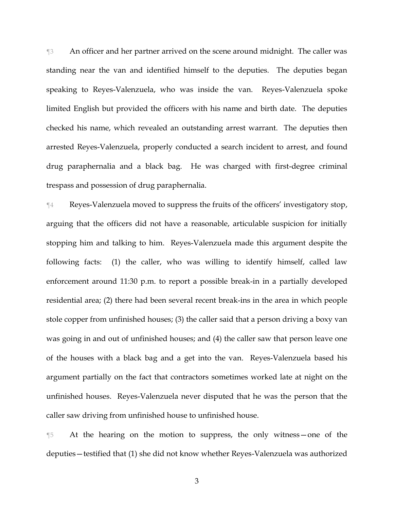¶3 An officer and her partner arrived on the scene around midnight. The caller was standing near the van and identified himself to the deputies. The deputies began speaking to Reyes-Valenzuela, who was inside the van. Reyes-Valenzuela spoke limited English but provided the officers with his name and birth date. The deputies checked his name, which revealed an outstanding arrest warrant. The deputies then arrested Reyes-Valenzuela, properly conducted a search incident to arrest, and found drug paraphernalia and a black bag. He was charged with first-degree criminal trespass and possession of drug paraphernalia.

¶4 Reyes-Valenzuela moved to suppress the fruits of the officers' investigatory stop, arguing that the officers did not have a reasonable, articulable suspicion for initially stopping him and talking to him. Reyes-Valenzuela made this argument despite the following facts: (1) the caller, who was willing to identify himself, called law enforcement around 11:30 p.m. to report a possible break-in in a partially developed residential area; (2) there had been several recent break-ins in the area in which people stole copper from unfinished houses; (3) the caller said that a person driving a boxy van was going in and out of unfinished houses; and (4) the caller saw that person leave one of the houses with a black bag and a get into the van. Reyes-Valenzuela based his argument partially on the fact that contractors sometimes worked late at night on the unfinished houses. Reyes-Valenzuela never disputed that he was the person that the caller saw driving from unfinished house to unfinished house.

¶5 At the hearing on the motion to suppress, the only witness—one of the deputies—testified that (1) she did not know whether Reyes-Valenzuela was authorized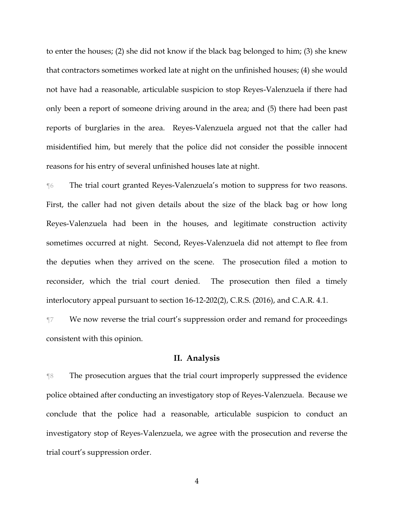to enter the houses; (2) she did not know if the black bag belonged to him; (3) she knew that contractors sometimes worked late at night on the unfinished houses; (4) she would not have had a reasonable, articulable suspicion to stop Reyes-Valenzuela if there had only been a report of someone driving around in the area; and (5) there had been past reports of burglaries in the area. Reyes-Valenzuela argued not that the caller had misidentified him, but merely that the police did not consider the possible innocent reasons for his entry of several unfinished houses late at night.

¶6 The trial court granted Reyes-Valenzuela's motion to suppress for two reasons. First, the caller had not given details about the size of the black bag or how long Reyes-Valenzuela had been in the houses, and legitimate construction activity sometimes occurred at night. Second, Reyes-Valenzuela did not attempt to flee from the deputies when they arrived on the scene. The prosecution filed a motion to reconsider, which the trial court denied. The prosecution then filed a timely interlocutory appeal pursuant to section 16-12-202(2), C.R.S. (2016), and C.A.R. 4.1.

¶7 We now reverse the trial court's suppression order and remand for proceedings consistent with this opinion.

## **II. Analysis**

¶8 The prosecution argues that the trial court improperly suppressed the evidence police obtained after conducting an investigatory stop of Reyes-Valenzuela. Because we conclude that the police had a reasonable, articulable suspicion to conduct an investigatory stop of Reyes-Valenzuela, we agree with the prosecution and reverse the trial court's suppression order.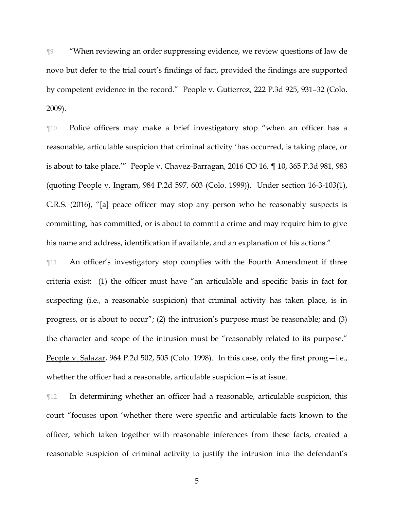¶9 "When reviewing an order suppressing evidence, we review questions of law de novo but defer to the trial court's findings of fact, provided the findings are supported by competent evidence in the record." People v. Gutierrez, 222 P.3d 925, 931–32 (Colo. 2009).

¶10 Police officers may make a brief investigatory stop "when an officer has a reasonable, articulable suspicion that criminal activity 'has occurred, is taking place, or is about to take place.'" People v. Chavez-Barragan, 2016 CO 16, ¶ 10, 365 P.3d 981, 983 (quoting People v. Ingram, 984 P.2d 597, 603 (Colo. 1999)). Under section 16-3-103(1), C.R.S. (2016), "[a] peace officer may stop any person who he reasonably suspects is committing, has committed, or is about to commit a crime and may require him to give his name and address, identification if available, and an explanation of his actions."

¶11 An officer's investigatory stop complies with the Fourth Amendment if three criteria exist: (1) the officer must have "an articulable and specific basis in fact for suspecting (i.e., a reasonable suspicion) that criminal activity has taken place, is in progress, or is about to occur"; (2) the intrusion's purpose must be reasonable; and (3) the character and scope of the intrusion must be "reasonably related to its purpose." People v. Salazar, 964 P.2d 502, 505 (Colo. 1998). In this case, only the first prong—i.e., whether the officer had a reasonable, articulable suspicion—is at issue.

¶12 In determining whether an officer had a reasonable, articulable suspicion, this court "focuses upon 'whether there were specific and articulable facts known to the officer, which taken together with reasonable inferences from these facts, created a reasonable suspicion of criminal activity to justify the intrusion into the defendant's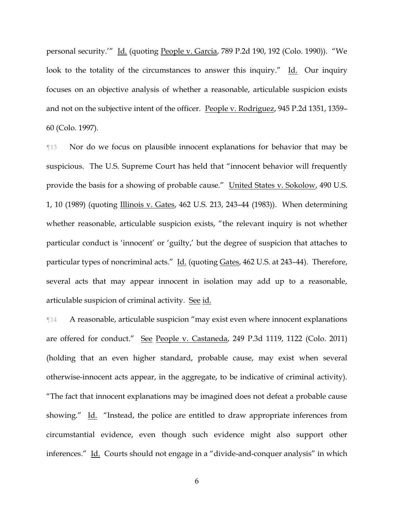personal security.'" Id. (quoting People v. Garcia, 789 P.2d 190, 192 (Colo. 1990)). "We look to the totality of the circumstances to answer this inquiry." Id. Our inquiry focuses on an objective analysis of whether a reasonable, articulable suspicion exists and not on the subjective intent of the officer. People v. Rodriguez, 945 P.2d 1351, 1359– 60 (Colo. 1997).

¶13 Nor do we focus on plausible innocent explanations for behavior that may be suspicious. The U.S. Supreme Court has held that "innocent behavior will frequently provide the basis for a showing of probable cause." United States v. Sokolow, 490 U.S. 1, 10 (1989) (quoting Illinois v. Gates, 462 U.S. 213, 243–44 (1983)). When determining whether reasonable, articulable suspicion exists, "the relevant inquiry is not whether particular conduct is 'innocent' or 'guilty,' but the degree of suspicion that attaches to particular types of noncriminal acts." Id. (quoting Gates, 462 U.S. at 243–44). Therefore, several acts that may appear innocent in isolation may add up to a reasonable, articulable suspicion of criminal activity. See id.

¶14 A reasonable, articulable suspicion "may exist even where innocent explanations are offered for conduct." See People v. Castaneda, 249 P.3d 1119, 1122 (Colo. 2011) (holding that an even higher standard, probable cause, may exist when several otherwise-innocent acts appear, in the aggregate, to be indicative of criminal activity). "The fact that innocent explanations may be imagined does not defeat a probable cause showing." Id. "Instead, the police are entitled to draw appropriate inferences from circumstantial evidence, even though such evidence might also support other inferences." Id. Courts should not engage in a "divide-and-conquer analysis" in which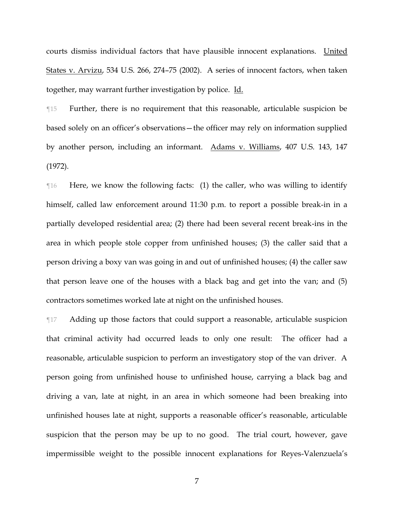courts dismiss individual factors that have plausible innocent explanations. United States v. Arvizu, 534 U.S. 266, 274–75 (2002). A series of innocent factors, when taken together, may warrant further investigation by police. Id.

¶15 Further, there is no requirement that this reasonable, articulable suspicion be based solely on an officer's observations—the officer may rely on information supplied by another person, including an informant. Adams v. Williams, 407 U.S. 143, 147 (1972).

¶16 Here, we know the following facts: (1) the caller, who was willing to identify himself, called law enforcement around 11:30 p.m. to report a possible break-in in a partially developed residential area; (2) there had been several recent break-ins in the area in which people stole copper from unfinished houses; (3) the caller said that a person driving a boxy van was going in and out of unfinished houses; (4) the caller saw that person leave one of the houses with a black bag and get into the van; and (5) contractors sometimes worked late at night on the unfinished houses.

¶17 Adding up those factors that could support a reasonable, articulable suspicion that criminal activity had occurred leads to only one result: The officer had a reasonable, articulable suspicion to perform an investigatory stop of the van driver. A person going from unfinished house to unfinished house, carrying a black bag and driving a van, late at night, in an area in which someone had been breaking into unfinished houses late at night, supports a reasonable officer's reasonable, articulable suspicion that the person may be up to no good. The trial court, however, gave impermissible weight to the possible innocent explanations for Reyes-Valenzuela's